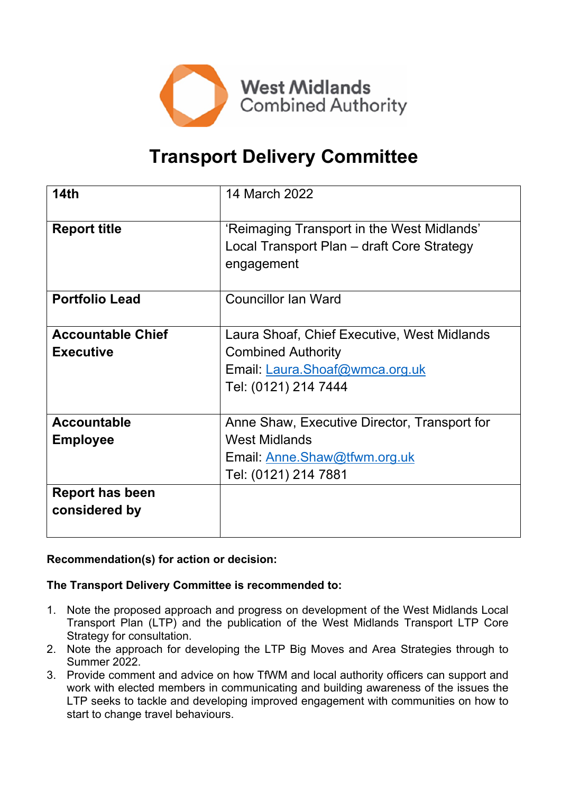

# **Transport Delivery Committee**

| 14 <sub>th</sub>                             | 14 March 2022                                                                                                                      |  |  |
|----------------------------------------------|------------------------------------------------------------------------------------------------------------------------------------|--|--|
| <b>Report title</b>                          | 'Reimaging Transport in the West Midlands'<br>Local Transport Plan – draft Core Strategy<br>engagement                             |  |  |
| <b>Portfolio Lead</b>                        | <b>Councillor Ian Ward</b>                                                                                                         |  |  |
| <b>Accountable Chief</b><br><b>Executive</b> | Laura Shoaf, Chief Executive, West Midlands<br><b>Combined Authority</b><br>Email: Laura.Shoaf@wmca.org.uk<br>Tel: (0121) 214 7444 |  |  |
| <b>Accountable</b><br><b>Employee</b>        | Anne Shaw, Executive Director, Transport for<br><b>West Midlands</b><br>Email: Anne.Shaw@tfwm.org.uk<br>Tel: (0121) 214 7881       |  |  |
| <b>Report has been</b><br>considered by      |                                                                                                                                    |  |  |

## **Recommendation(s) for action or decision:**

#### **The Transport Delivery Committee is recommended to:**

- 1. Note the proposed approach and progress on development of the West Midlands Local Transport Plan (LTP) and the publication of the West Midlands Transport LTP Core Strategy for consultation.
- 2. Note the approach for developing the LTP Big Moves and Area Strategies through to Summer 2022.
- 3. Provide comment and advice on how TfWM and local authority officers can support and work with elected members in communicating and building awareness of the issues the LTP seeks to tackle and developing improved engagement with communities on how to start to change travel behaviours.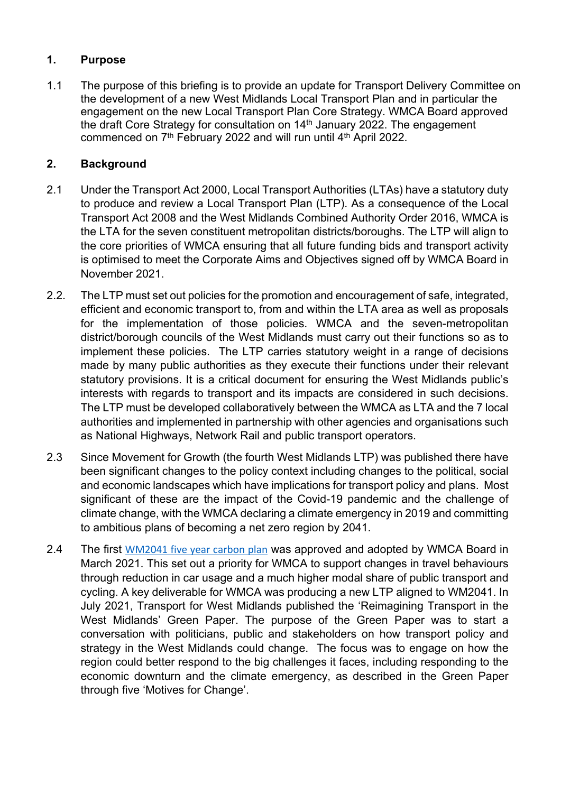# **1. Purpose**

1.1 The purpose of this briefing is to provide an update for Transport Delivery Committee on the development of a new West Midlands Local Transport Plan and in particular the engagement on the new Local Transport Plan Core Strategy. WMCA Board approved the draft Core Strategy for consultation on 14<sup>th</sup> January 2022. The engagement commenced on 7<sup>th</sup> February 2022 and will run until 4<sup>th</sup> April 2022.

## **2. Background**

- 2.1 Under the Transport Act 2000, Local Transport Authorities (LTAs) have a statutory duty to produce and review a Local Transport Plan (LTP). As a consequence of the Local Transport Act 2008 and the West Midlands Combined Authority Order 2016, WMCA is the LTA for the seven constituent metropolitan districts/boroughs. The LTP will align to the core priorities of WMCA ensuring that all future funding bids and transport activity is optimised to meet the Corporate Aims and Objectives signed off by WMCA Board in November 2021.
- 2.2. The LTP must set out policies for the promotion and encouragement of safe, integrated, efficient and economic transport to, from and within the LTA area as well as proposals for the implementation of those policies. WMCA and the seven-metropolitan district/borough councils of the West Midlands must carry out their functions so as to implement these policies. The LTP carries statutory weight in a range of decisions made by many public authorities as they execute their functions under their relevant statutory provisions. It is a critical document for ensuring the West Midlands public's interests with regards to transport and its impacts are considered in such decisions. The LTP must be developed collaboratively between the WMCA as LTA and the 7 local authorities and implemented in partnership with other agencies and organisations such as National Highways, Network Rail and public transport operators.
- 2.3 Since Movement for Growth (the fourth West Midlands LTP) was published there have been significant changes to the policy context including changes to the political, social and economic landscapes which have implications for transport policy and plans. Most significant of these are the impact of the Covid-19 pandemic and the challenge of climate change, with the WMCA declaring a climate emergency in 2019 and committing to ambitious plans of becoming a net zero region by 2041.
- 2.4 The first [WM2041](https://www.wmca.org.uk/media/4871/wm-net-zero-fyp-summary-tech-report.pdf) five year carbon plan was approved and adopted by WMCA Board in March 2021. This set out a priority for WMCA to support changes in travel behaviours through reduction in car usage and a much higher modal share of public transport and cycling. A key deliverable for WMCA was producing a new LTP aligned to WM2041. In July 2021, Transport for West Midlands published the 'Reimagining Transport in the West Midlands' Green Paper. The purpose of the Green Paper was to start a conversation with politicians, public and stakeholders on how transport policy and strategy in the West Midlands could change. The focus was to engage on how the region could better respond to the big challenges it faces, including responding to the economic downturn and the climate emergency, as described in the Green Paper through five 'Motives for Change'.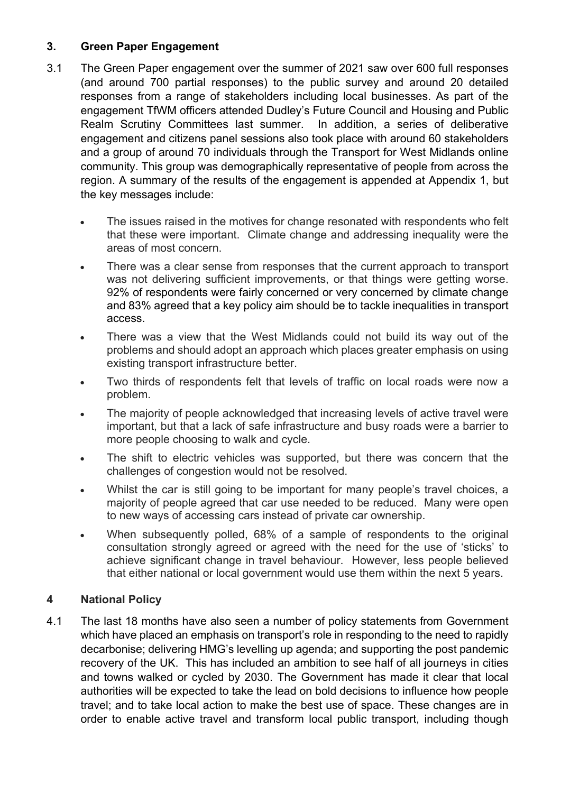## **3. Green Paper Engagement**

- 3.1 The Green Paper engagement over the summer of 2021 saw over 600 full responses (and around 700 partial responses) to the public survey and around 20 detailed responses from a range of stakeholders including local businesses. As part of the engagement TfWM officers attended Dudley's Future Council and Housing and Public Realm Scrutiny Committees last summer. In addition, a series of deliberative engagement and citizens panel sessions also took place with around 60 stakeholders and a group of around 70 individuals through the Transport for West Midlands online community. This group was demographically representative of people from across the region. A summary of the results of the engagement is appended at Appendix 1, but the key messages include:
	- The issues raised in the motives for change resonated with respondents who felt that these were important. Climate change and addressing inequality were the areas of most concern.
	- There was a clear sense from responses that the current approach to transport was not delivering sufficient improvements, or that things were getting worse. 92% of respondents were fairly concerned or very concerned by climate change and 83% agreed that a key policy aim should be to tackle inequalities in transport access.
	- There was a view that the West Midlands could not build its way out of the problems and should adopt an approach which places greater emphasis on using existing transport infrastructure better.
	- Two thirds of respondents felt that levels of traffic on local roads were now a problem.
	- The majority of people acknowledged that increasing levels of active travel were important, but that a lack of safe infrastructure and busy roads were a barrier to more people choosing to walk and cycle.
	- The shift to electric vehicles was supported, but there was concern that the challenges of congestion would not be resolved.
	- Whilst the car is still going to be important for many people's travel choices, a majority of people agreed that car use needed to be reduced. Many were open to new ways of accessing cars instead of private car ownership.
	- When subsequently polled, 68% of a sample of respondents to the original consultation strongly agreed or agreed with the need for the use of 'sticks' to achieve significant change in travel behaviour. However, less people believed that either national or local government would use them within the next 5 years.

## **4 National Policy**

4.1 The last 18 months have also seen a number of policy statements from Government which have placed an emphasis on transport's role in responding to the need to rapidly decarbonise; delivering HMG's levelling up agenda; and supporting the post pandemic recovery of the UK. This has included an ambition to see half of all journeys in cities and towns walked or cycled by 2030. The Government has made it clear that local authorities will be expected to take the lead on bold decisions to influence how people travel; and to take local action to make the best use of space. These changes are in order to enable active travel and transform local public transport, including though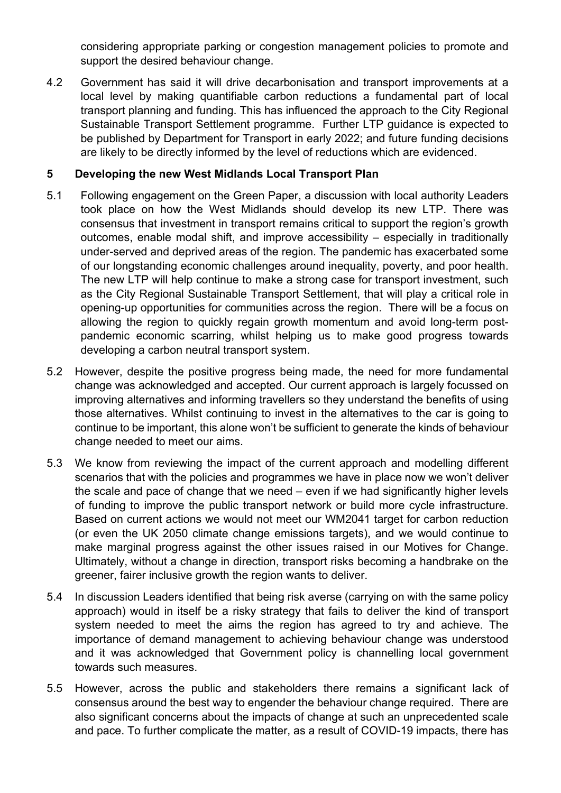considering appropriate parking or congestion management policies to promote and support the desired behaviour change.

4.2 Government has said it will drive decarbonisation and transport improvements at a local level by making quantifiable carbon reductions a fundamental part of local transport planning and funding. This has influenced the approach to the City Regional Sustainable Transport Settlement programme. Further LTP guidance is expected to be published by Department for Transport in early 2022; and future funding decisions are likely to be directly informed by the level of reductions which are evidenced.

### **5 Developing the new West Midlands Local Transport Plan**

- 5.1 Following engagement on the Green Paper, a discussion with local authority Leaders took place on how the West Midlands should develop its new LTP. There was consensus that investment in transport remains critical to support the region's growth outcomes, enable modal shift, and improve accessibility – especially in traditionally under-served and deprived areas of the region. The pandemic has exacerbated some of our longstanding economic challenges around inequality, poverty, and poor health. The new LTP will help continue to make a strong case for transport investment, such as the City Regional Sustainable Transport Settlement, that will play a critical role in opening-up opportunities for communities across the region. There will be a focus on allowing the region to quickly regain growth momentum and avoid long-term postpandemic economic scarring, whilst helping us to make good progress towards developing a carbon neutral transport system.
- 5.2 However, despite the positive progress being made, the need for more fundamental change was acknowledged and accepted. Our current approach is largely focussed on improving alternatives and informing travellers so they understand the benefits of using those alternatives. Whilst continuing to invest in the alternatives to the car is going to continue to be important, this alone won't be sufficient to generate the kinds of behaviour change needed to meet our aims.
- 5.3 We know from reviewing the impact of the current approach and modelling different scenarios that with the policies and programmes we have in place now we won't deliver the scale and pace of change that we need – even if we had significantly higher levels of funding to improve the public transport network or build more cycle infrastructure. Based on current actions we would not meet our WM2041 target for carbon reduction (or even the UK 2050 climate change emissions targets), and we would continue to make marginal progress against the other issues raised in our Motives for Change. Ultimately, without a change in direction, transport risks becoming a handbrake on the greener, fairer inclusive growth the region wants to deliver.
- 5.4 In discussion Leaders identified that being risk averse (carrying on with the same policy approach) would in itself be a risky strategy that fails to deliver the kind of transport system needed to meet the aims the region has agreed to try and achieve. The importance of demand management to achieving behaviour change was understood and it was acknowledged that Government policy is channelling local government towards such measures.
- 5.5 However, across the public and stakeholders there remains a significant lack of consensus around the best way to engender the behaviour change required. There are also significant concerns about the impacts of change at such an unprecedented scale and pace. To further complicate the matter, as a result of COVID-19 impacts, there has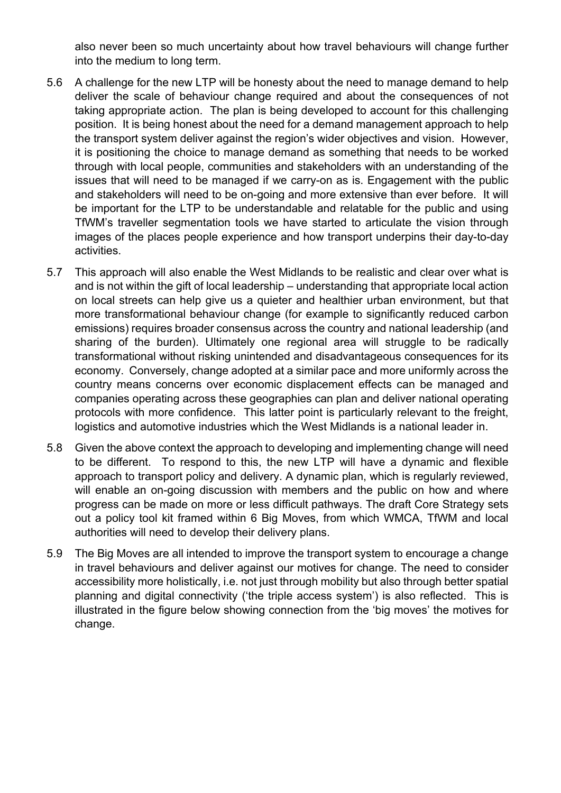also never been so much uncertainty about how travel behaviours will change further into the medium to long term.

- 5.6 A challenge for the new LTP will be honesty about the need to manage demand to help deliver the scale of behaviour change required and about the consequences of not taking appropriate action. The plan is being developed to account for this challenging position. It is being honest about the need for a demand management approach to help the transport system deliver against the region's wider objectives and vision. However, it is positioning the choice to manage demand as something that needs to be worked through with local people, communities and stakeholders with an understanding of the issues that will need to be managed if we carry-on as is. Engagement with the public and stakeholders will need to be on-going and more extensive than ever before. It will be important for the LTP to be understandable and relatable for the public and using TfWM's traveller segmentation tools we have started to articulate the vision through images of the places people experience and how transport underpins their day-to-day activities.
- 5.7 This approach will also enable the West Midlands to be realistic and clear over what is and is not within the gift of local leadership – understanding that appropriate local action on local streets can help give us a quieter and healthier urban environment, but that more transformational behaviour change (for example to significantly reduced carbon emissions) requires broader consensus across the country and national leadership (and sharing of the burden). Ultimately one regional area will struggle to be radically transformational without risking unintended and disadvantageous consequences for its economy. Conversely, change adopted at a similar pace and more uniformly across the country means concerns over economic displacement effects can be managed and companies operating across these geographies can plan and deliver national operating protocols with more confidence. This latter point is particularly relevant to the freight, logistics and automotive industries which the West Midlands is a national leader in.
- 5.8 Given the above context the approach to developing and implementing change will need to be different. To respond to this, the new LTP will have a dynamic and flexible approach to transport policy and delivery. A dynamic plan, which is regularly reviewed, will enable an on-going discussion with members and the public on how and where progress can be made on more or less difficult pathways. The draft Core Strategy sets out a policy tool kit framed within 6 Big Moves, from which WMCA, TfWM and local authorities will need to develop their delivery plans.
- 5.9 The Big Moves are all intended to improve the transport system to encourage a change in travel behaviours and deliver against our motives for change. The need to consider accessibility more holistically, i.e. not just through mobility but also through better spatial planning and digital connectivity ('the triple access system') is also reflected. This is illustrated in the figure below showing connection from the 'big moves' the motives for change.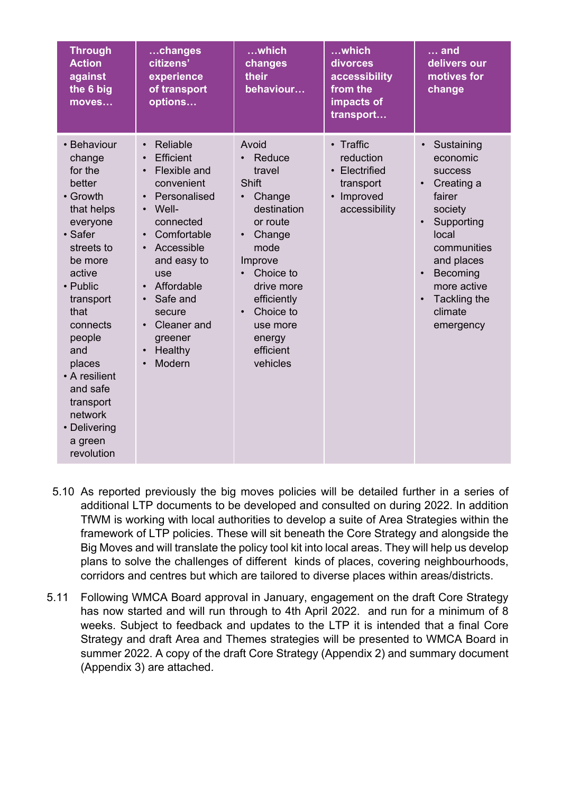| <b>Through</b><br><b>Action</b><br>against<br>the 6 big<br>moves                                                                                                                                                                                                                                     | changes<br>citizens'<br>experience<br>of transport<br>options                                                                                                                                                                                                                                                                                        | which<br>changes<br>their<br>behaviour                                                                                                                                                                                                                   | which<br>divorces<br>accessibility<br>from the<br>impacts of<br>transport                      | and<br>delivers our<br>motives for<br>change                                                                                                                                                                                                           |
|------------------------------------------------------------------------------------------------------------------------------------------------------------------------------------------------------------------------------------------------------------------------------------------------------|------------------------------------------------------------------------------------------------------------------------------------------------------------------------------------------------------------------------------------------------------------------------------------------------------------------------------------------------------|----------------------------------------------------------------------------------------------------------------------------------------------------------------------------------------------------------------------------------------------------------|------------------------------------------------------------------------------------------------|--------------------------------------------------------------------------------------------------------------------------------------------------------------------------------------------------------------------------------------------------------|
| • Behaviour<br>change<br>for the<br>better<br>• Growth<br>that helps<br>everyone<br>• Safer<br>streets to<br>be more<br>active<br>• Public<br>transport<br>that<br>connects<br>people<br>and<br>places<br>• A resilient<br>and safe<br>transport<br>network<br>• Delivering<br>a green<br>revolution | Reliable<br>$\bullet$<br>Efficient<br>$\bullet$<br>Flexible and<br>convenient<br>Personalised<br>$\bullet$<br>Well-<br>$\bullet$<br>connected<br>Comfortable<br>$\bullet$<br>Accessible<br>$\bullet$<br>and easy to<br>use<br>Affordable<br>$\bullet$<br>Safe and<br>$\bullet$<br>secure<br>Cleaner and<br>greener<br>Healthy<br>$\bullet$<br>Modern | Avoid<br>Reduce<br>travel<br><b>Shift</b><br>Change<br>$\bullet$<br>destination<br>or route<br>Change<br>$\bullet$<br>mode<br>Improve<br>Choice to<br>drive more<br>efficiently<br>Choice to<br>$\bullet$<br>use more<br>energy<br>efficient<br>vehicles | • Traffic<br>reduction<br>• Electrified<br>transport<br>Improved<br>$\bullet$<br>accessibility | Sustaining<br>$\bullet$<br>economic<br><b>success</b><br>Creating a<br>$\bullet$<br>fairer<br>society<br>Supporting<br>local<br>communities<br>and places<br>Becoming<br>$\bullet$<br>more active<br>Tackling the<br>$\bullet$<br>climate<br>emergency |

- 5.10 As reported previously the big moves policies will be detailed further in a series of additional LTP documents to be developed and consulted on during 2022. In addition TfWM is working with local authorities to develop a suite of Area Strategies within the framework of LTP policies. These will sit beneath the Core Strategy and alongside the Big Moves and will translate the policy tool kit into local areas. They will help us develop plans to solve the challenges of different kinds of places, covering neighbourhoods, corridors and centres but which are tailored to diverse places within areas/districts.
- 5.11 Following WMCA Board approval in January, engagement on the draft Core Strategy has now started and will run through to 4th April 2022. and run for a minimum of 8 weeks. Subject to feedback and updates to the LTP it is intended that a final Core Strategy and draft Area and Themes strategies will be presented to WMCA Board in summer 2022. A copy of the draft Core Strategy (Appendix 2) and summary document (Appendix 3) are attached.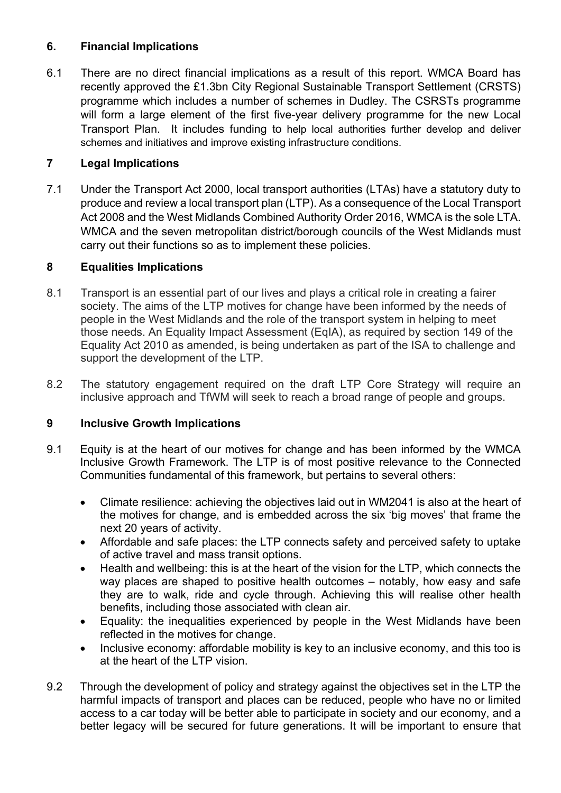## **6. Financial Implications**

6.1 There are no direct financial implications as a result of this report. WMCA Board has recently approved the £1.3bn City Regional Sustainable Transport Settlement (CRSTS) programme which includes a number of schemes in Dudley. The CSRSTs programme will form a large element of the first five-year delivery programme for the new Local Transport Plan. It includes funding to help local authorities further develop and deliver schemes and initiatives and improve existing infrastructure conditions.

# **7 Legal Implications**

7.1 Under the Transport Act 2000, local transport authorities (LTAs) have a statutory duty to produce and review a local transport plan (LTP). As a consequence of the Local Transport Act 2008 and the West Midlands Combined Authority Order 2016, WMCA is the sole LTA. WMCA and the seven metropolitan district/borough councils of the West Midlands must carry out their functions so as to implement these policies.

## **8 Equalities Implications**

- 8.1 Transport is an essential part of our lives and plays a critical role in creating a fairer society. The aims of the LTP motives for change have been informed by the needs of people in the West Midlands and the role of the transport system in helping to meet those needs. An Equality Impact Assessment (EqIA), as required by section 149 of the Equality Act 2010 as amended, is being undertaken as part of the ISA to challenge and support the development of the LTP.
- 8.2 The statutory engagement required on the draft LTP Core Strategy will require an inclusive approach and TfWM will seek to reach a broad range of people and groups.

## **9 Inclusive Growth Implications**

- 9.1 Equity is at the heart of our motives for change and has been informed by the WMCA Inclusive Growth Framework. The LTP is of most positive relevance to the Connected Communities fundamental of this framework, but pertains to several others:
	- Climate resilience: achieving the objectives laid out in WM2041 is also at the heart of the motives for change, and is embedded across the six 'big moves' that frame the next 20 years of activity.
	- Affordable and safe places: the LTP connects safety and perceived safety to uptake of active travel and mass transit options.
	- Health and wellbeing: this is at the heart of the vision for the LTP, which connects the way places are shaped to positive health outcomes – notably, how easy and safe they are to walk, ride and cycle through. Achieving this will realise other health benefits, including those associated with clean air.
	- Equality: the inequalities experienced by people in the West Midlands have been reflected in the motives for change.
	- Inclusive economy: affordable mobility is key to an inclusive economy, and this too is at the heart of the LTP vision.
- 9.2 Through the development of policy and strategy against the objectives set in the LTP the harmful impacts of transport and places can be reduced, people who have no or limited access to a car today will be better able to participate in society and our economy, and a better legacy will be secured for future generations. It will be important to ensure that